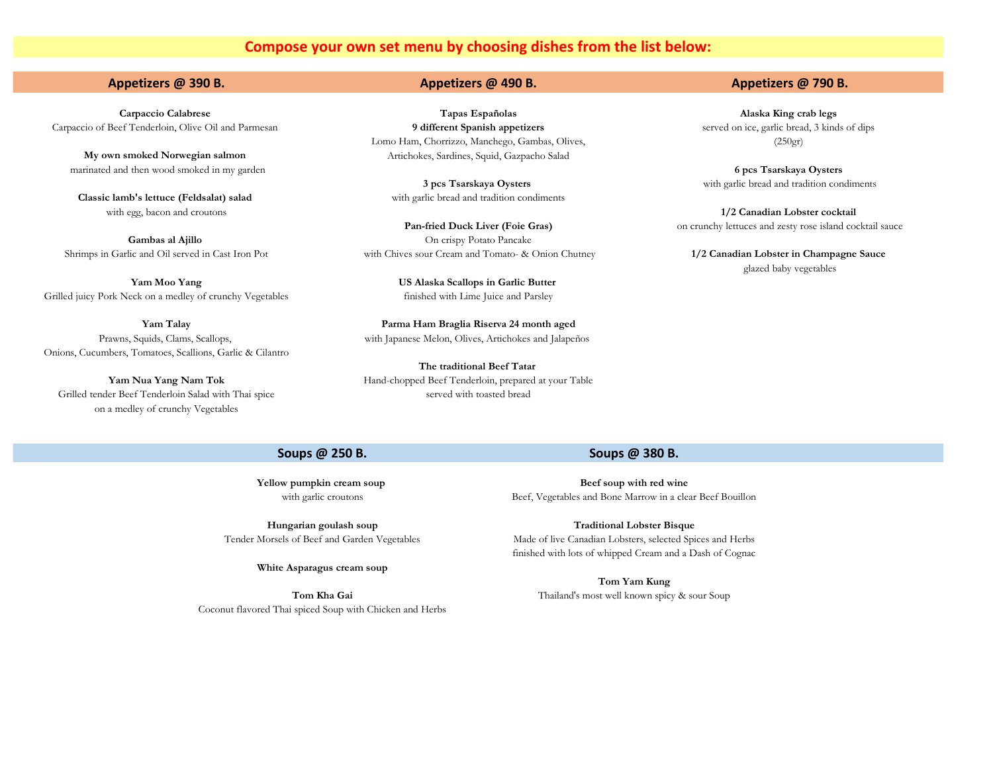# **Compose your own set menu by choosing dishes from the list below:**

## **Appetizers @ 390 B. Appetizers @ 490 B. Appetizers @ 790 B.**

**Carpaccio Calabrese Tapas Españolas Alaska King crab legs**  Carpaccio of Beef Tenderloin, Olive Oil and Parmesan **9 different Spanish appetizers** served on ice, garlic bread, 3 kinds of dips Lomo Ham, Chorrizzo, Manchego, Gambas, Olives, (250gr) **My own smoked Norwegian salmon** Artichokes, Sardines, Squid, Gazpacho Salad

**Classic lamb's lettuce (Feldsalat) salad** with garlic bread and tradition condiments

**Gambas al Ajillo Cambas and Ajillo On crispy Potato Pancake** Shrimps in Garlic and Oil served in Cast Iron Pot with Chives sour Cream and Tomato- & Onion Chutney **1/2 Canadian Lobster in Champagne Sauce** 

**Yam Moo Yang US Alaska Scallops in Garlic Butter**  Grilled juicy Pork Neck on a medley of crunchy Vegetables finished with Lime Juice and Parsley

> **Yam Talay Parma Ham Braglia Riserva 24 month aged** Prawns, Squids, Clams, Scallops, with Japanese Melon, Olives, Artichokes and Jalapeños

**The traditional Beef Tatar Yam Nua Yang Nam Tok** Hand-chopped Beef Tenderloin, prepared at your Table

 marinated and then wood smoked in my garden **6 pcs Tsarskaya Oysters 3 pcs Tsarskaya Oysters** with garlic bread and tradition condiments

with egg, bacon and croutons **1/2 Canadian Lobster cocktail 1/3** Canadian Lobster cocktail **Pan-fried Duck Liver (Foie Gras)** on crunchy lettuces and zesty rose island cocktail sauce

glazed baby vegetables

### Onions, Cucumbers, Tomatoes, Scallions, Garlic & Cilantro

Grilled tender Beef Tenderloin Salad with Thai spice served with toasted bread on a medley of crunchy Vegetables

### **Soups @ 250 B. Soups @ 380 B.**

**Hungarian goulash soup Traditional Lobster Bisque**

**White Asparagus cream soup**

Coconut flavored Thai spiced Soup with Chicken and Herbs

**Yellow pumpkin cream soup Seef soup with red wine** with garlic croutons Beef, Vegetables and Bone Marrow in a clear Beef Bouillon

Tender Morsels of Beef and Garden Vegetables Made of live Canadian Lobsters, selected Spices and Herbs finished with lots of whipped Cream and a Dash of Cognac

> **Tom Yam Kung Tom Kha Gai** Thailand's most well known spicy & sour Soup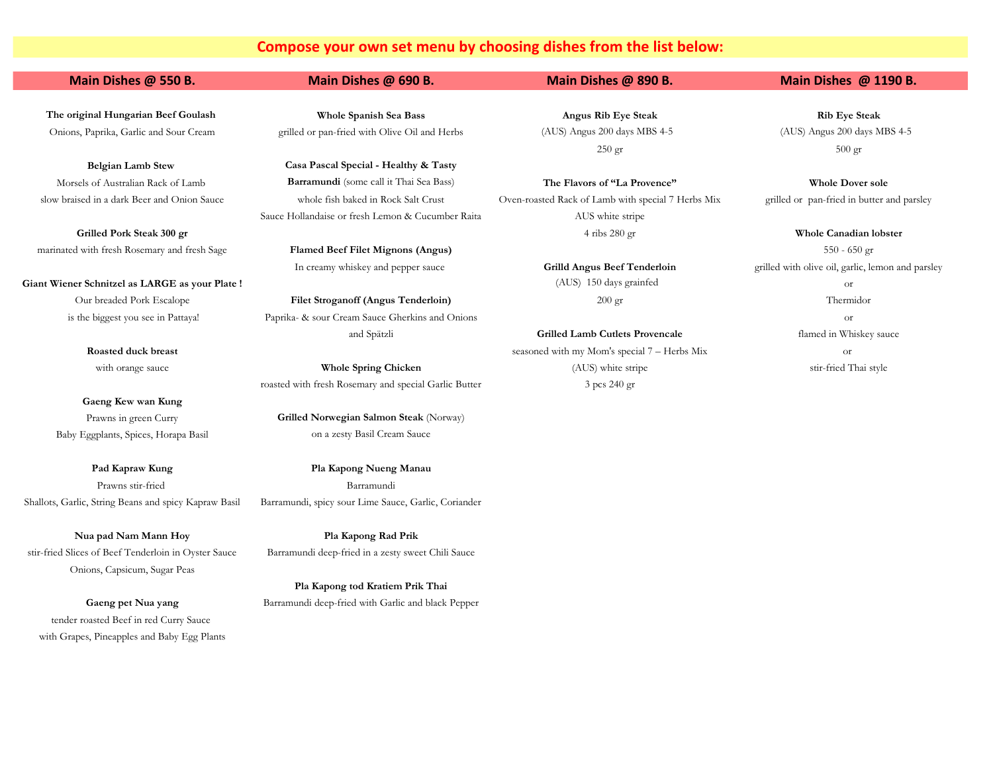# **Compose your own set menu by choosing dishes from the list below:**

marinated with fresh Rosemary and fresh Sage **Flamed Beef Filet Mignons (Angus)** 550 - 650 gr

Giant Wiener Schnitzel as LARGE as your Plate ! (AUS) 150 days grainfed or

**Gaeng Kew wan Kung** Baby Eggplants, Spices, Horapa Basil **Eggplants**, Spices, Horapa Basil Cream Sauce

Prawns stir-fried Barramundi Shallots, Garlic, String Beans and spicy Kapraw Basil Barramundi, spicy sour Lime Sauce, Garlic, Coriander

stir-fried Slices of Beef Tenderloin in Oyster Sauce Barramundi deep-fried in a zesty sweet Chili Sauce Onions, Capsicum, Sugar Peas

tender roasted Beef in red Curry Sauce with Grapes, Pineapples and Baby Egg Plants

**The original Hungarian Beef Goulash Whole Spanish Sea Bass Angus Rib Eye Steak Rib Eye Steak** Onions, Paprika, Garlic and Sour Cream grilled or pan-fried with Olive Oil and Herbs (AUS) Angus 200 days MBS 4-5 (AUS) Angus 200 days MBS 4-5

**Belgian Lamb Stew Casa Pascal Special - Healthy & Tasty** Morsels of Australian Rack of Lamb **Barramundi** (some call it Thai Sea Bass) **The Flavors of "La Provence" Whole Dover sole** Sauce Hollandaise or fresh Lemon & Cucumber Raita AUS white stripe

Our breaded Pork Escalope **Filet Stroganoff (Angus Tenderloin)** 200 gr Thermidor is the biggest you see in Pattaya! Paprika- & sour Cream Sauce Gherkins and Onions or

roasted with fresh Rosemary and special Garlic Butter 3 pcs 240 gr

Prawns in green Curry **Grilled Norwegian Salmon Steak** (Norway)

**Pad Kapraw Kung Pla Kapong Nueng Manau**

**Nua pad Nam Mann Hoy Pla Kapong Rad Prik**

**Pla Kapong tod Kratiem Prik Thai Gaeng pet Nua yang** Barramundi deep-fried with Garlic and black Pepper

slow braised in a dark Beer and Onion Sauce whole fish baked in Rock Salt Crust Oven-roasted Rack of Lamb with special 7 Herbs Mix grilled or pan-fried in butter and parsley **Grilled Pork Steak 300 gr** Whole Canadian lobster

and Spätzli **Grilled Lamb Cutlets Provencale** flamed in Whiskey sauce **Roasted duck breast** seasoned with my Mom's special 7 – Herbs Mix or with orange sauce **Whole Spring Chicken** (AUS) white stripe stir-fried Thai style

### **Main Dishes @ 550 B. Main Dishes @ 690 B. Main Dishes @ 890 B. Main Dishes @ 1190 B.**

 $250 \text{ gr}$  500 gr

In creamy whiskey and pepper sauce **Grilld Angus Beef Tenderloin** grilled with olive oil, garlic, lemon and parsley